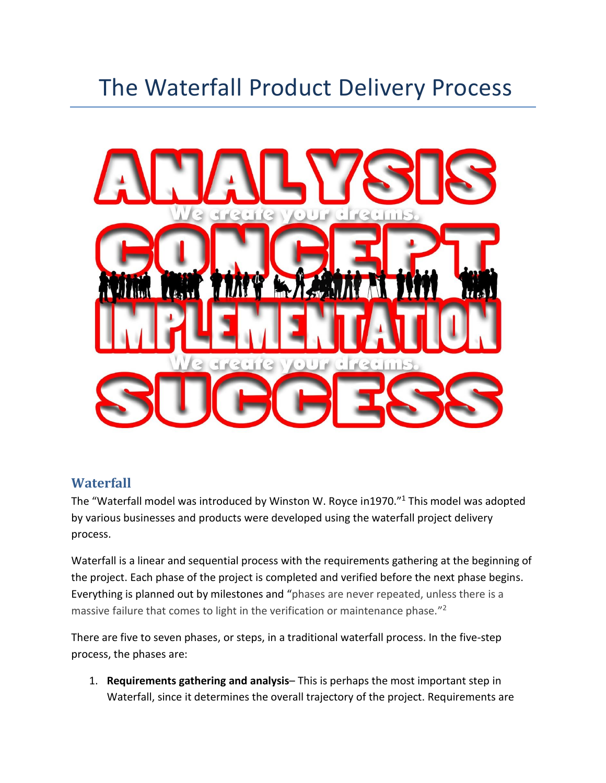## The Waterfall Product Delivery Process



## **Waterfall**

The "Waterfall model was introduced by Winston W. Royce in1970."<sup>1</sup> This model was adopted by various businesses and products were developed using the waterfall project delivery process.

Waterfall is a linear and sequential process with the requirements gathering at the beginning of the project. Each phase of the project is completed and verified before the next phase begins. Everything is planned out by milestones and "phases are never repeated, unless there is a massive failure that comes to light in the verification or maintenance phase."<sup>2</sup>

There are five to seven phases, or steps, in a traditional waterfall process. In the five-step process, the phases are:

1. **Requirements gathering and analysis**– This is perhaps the most important step in Waterfall, since it determines the overall trajectory of the project. Requirements are